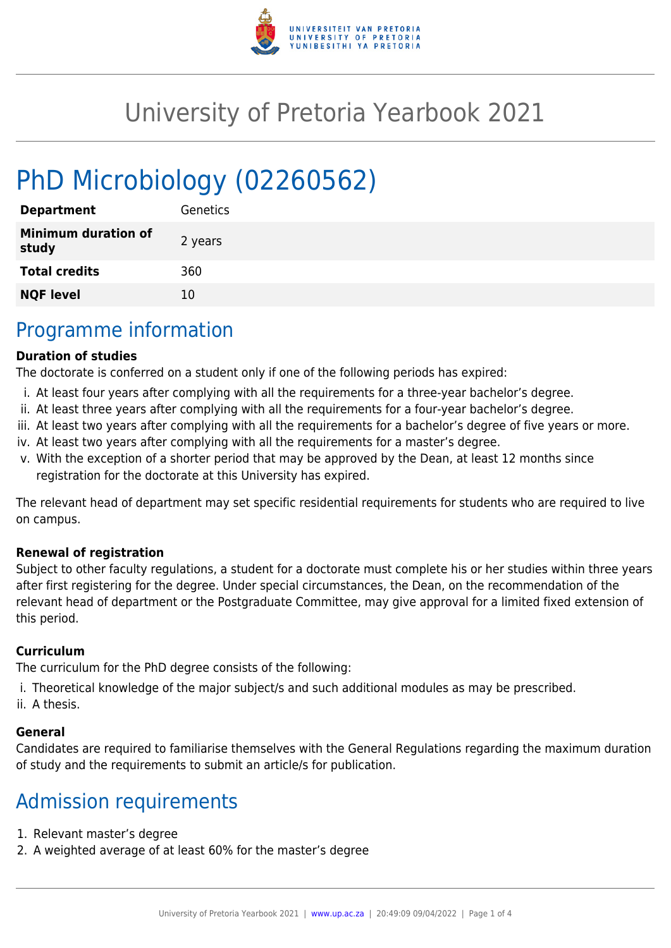

# University of Pretoria Yearbook 2021

# PhD Microbiology (02260562)

| <b>Department</b>                   | Genetics |
|-------------------------------------|----------|
| <b>Minimum duration of</b><br>study | 2 years  |
| <b>Total credits</b>                | 360      |
| <b>NQF level</b>                    | 10       |

### Programme information

#### **Duration of studies**

The doctorate is conferred on a student only if one of the following periods has expired:

- i. At least four years after complying with all the requirements for a three-year bachelor's degree.
- ii. At least three years after complying with all the requirements for a four-year bachelor's degree.
- iii. At least two years after complying with all the requirements for a bachelor's degree of five years or more.
- iv. At least two years after complying with all the requirements for a master's degree.
- v. With the exception of a shorter period that may be approved by the Dean, at least 12 months since registration for the doctorate at this University has expired.

The relevant head of department may set specific residential requirements for students who are required to live on campus.

#### **Renewal of registration**

Subject to other faculty regulations, a student for a doctorate must complete his or her studies within three years after first registering for the degree. Under special circumstances, the Dean, on the recommendation of the relevant head of department or the Postgraduate Committee, may give approval for a limited fixed extension of this period.

#### **Curriculum**

The curriculum for the PhD degree consists of the following:

- i. Theoretical knowledge of the major subject/s and such additional modules as may be prescribed.
- ii. A thesis.

#### **General**

Candidates are required to familiarise themselves with the General Regulations regarding the maximum duration of study and the requirements to submit an article/s for publication.

## Admission requirements

- 1. Relevant master's degree
- 2. A weighted average of at least 60% for the master's degree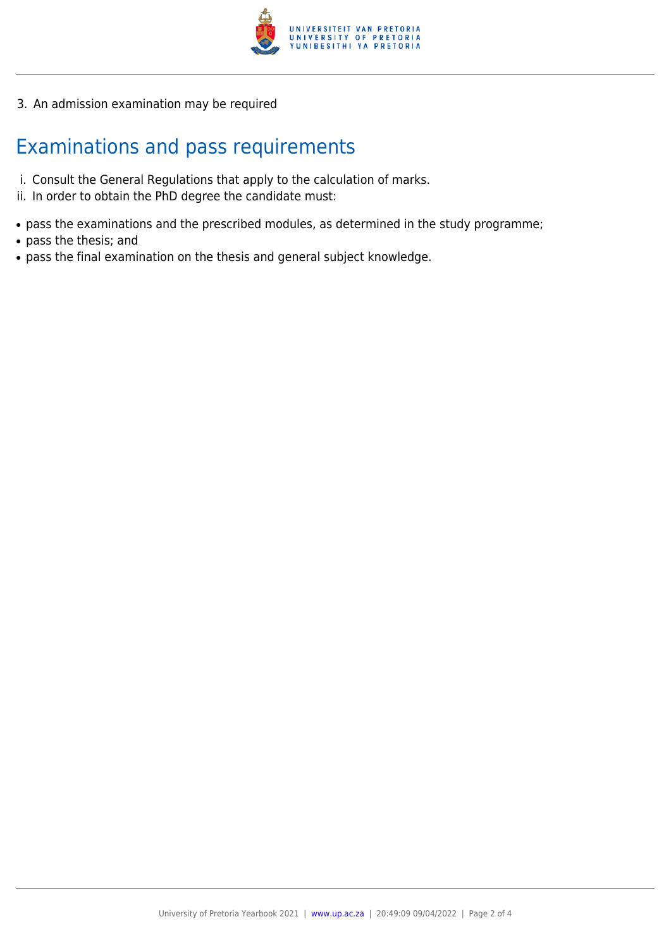

3. An admission examination may be required

# Examinations and pass requirements

- i. Consult the General Regulations that apply to the calculation of marks.
- ii. In order to obtain the PhD degree the candidate must:
- pass the examinations and the prescribed modules, as determined in the study programme;
- pass the thesis; and
- pass the final examination on the thesis and general subject knowledge.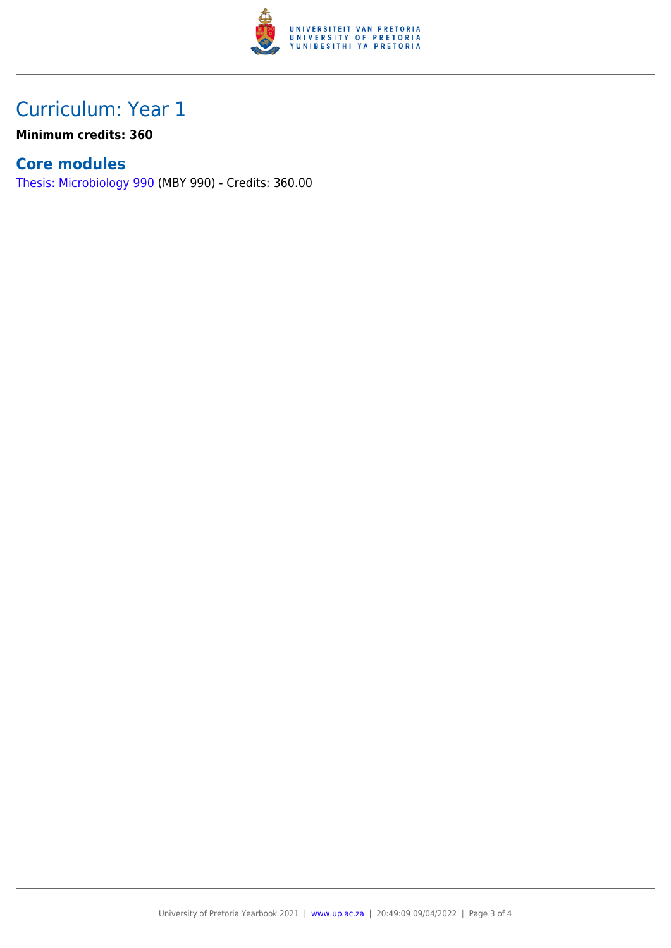

## Curriculum: Year 1

**Minimum credits: 360**

### **Core modules**

[Thesis: Microbiology 990](https://www.up.ac.za/faculty-of-education/yearbooks/2021/modules/view/MBY 990) (MBY 990) - Credits: 360.00